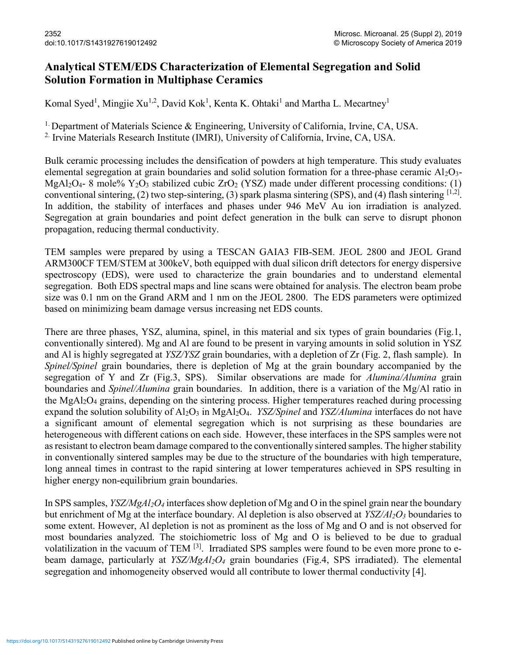## Analytical STEM/EDS Characterization of Elemental Segregation and Solid Solution Formation in Multiphase Ceramics

Komal Syed<sup>1</sup>, Mingjie Xu<sup>1,2</sup>, David Kok<sup>1</sup>, Kenta K. Ohtaki<sup>1</sup> and Martha L. Mecartney<sup>1</sup>

<sup>1.</sup> Department of Materials Science & Engineering, University of California, Irvine, CA, USA.

<sup>2.</sup> Irvine Materials Research Institute (IMRI), University of California, Irvine, CA, USA.

Bulk ceramic processing includes the densification of powders at high temperature. This study evaluates elemental segregation at grain boundaries and solid solution formation for a three-phase ceramic Al2O3-MgAl<sub>2</sub>O<sub>4</sub>- 8 mole% Y<sub>2</sub>O<sub>3</sub> stabilized cubic ZrO<sub>2</sub> (YSZ) made under different processing conditions: (1) conventional sintering, (2) two step-sintering, (3) spark plasma sintering (SPS), and (4) flash sintering  $[1,2]$ . In addition, the stability of interfaces and phases under 946 MeV Au ion irradiation is analyzed. Segregation at grain boundaries and point defect generation in the bulk can serve to disrupt phonon propagation, reducing thermal conductivity.

TEM samples were prepared by using a TESCAN GAIA3 FIB-SEM. JEOL 2800 and JEOL Grand ARM300CF TEM/STEM at 300keV, both equipped with dual silicon drift detectors for energy dispersive spectroscopy (EDS), were used to characterize the grain boundaries and to understand elemental segregation. Both EDS spectral maps and line scans were obtained for analysis. The electron beam probe size was 0.1 nm on the Grand ARM and 1 nm on the JEOL 2800. The EDS parameters were optimized based on minimizing beam damage versus increasing net EDS counts.

There are three phases, YSZ, alumina, spinel, in this material and six types of grain boundaries (Fig.1, conventionally sintered). Mg and Al are found to be present in varying amounts in solid solution in YSZ and Al is highly segregated at YSZ/YSZ grain boundaries, with a depletion of Zr (Fig. 2, flash sample). In Spinel/Spinel grain boundaries, there is depletion of Mg at the grain boundary accompanied by the segregation of Y and Zr (Fig.3, SPS). Similar observations are made for *Alumina/Alumina* grain boundaries and Spinel/Alumina grain boundaries. In addition, there is a variation of the Mg/Al ratio in the MgAl2O4 grains, depending on the sintering process. Higher temperatures reached during processing expand the solution solubility of  $A_1_2O_3$  in MgAl<sub>2</sub>O<sub>4</sub>. *YSZ/Spinel* and *YSZ/Alumina* interfaces do not have a significant amount of elemental segregation which is not surprising as these boundaries are heterogeneous with different cations on each side. However, these interfaces in the SPS samples were not as resistant to electron beam damage compared to the conventionally sintered samples. The higher stability in conventionally sintered samples may be due to the structure of the boundaries with high temperature, long anneal times in contrast to the rapid sintering at lower temperatures achieved in SPS resulting in higher energy non-equilibrium grain boundaries.

In SPS samples,  $YSZ/MgAl_2O_4$  interfaces show depletion of Mg and O in the spinel grain near the boundary but enrichment of Mg at the interface boundary. Al depletion is also observed at  $YSZ/AI_2O_3$  boundaries to some extent. However, Al depletion is not as prominent as the loss of Mg and O and is not observed for most boundaries analyzed. The stoichiometric loss of Mg and O is believed to be due to gradual volatilization in the vacuum of TEM [3]. Irradiated SPS samples were found to be even more prone to ebeam damage, particularly at  $YSZ/MgAl_2O_4$  grain boundaries (Fig.4, SPS irradiated). The elemental segregation and inhomogeneity observed would all contribute to lower thermal conductivity [4].